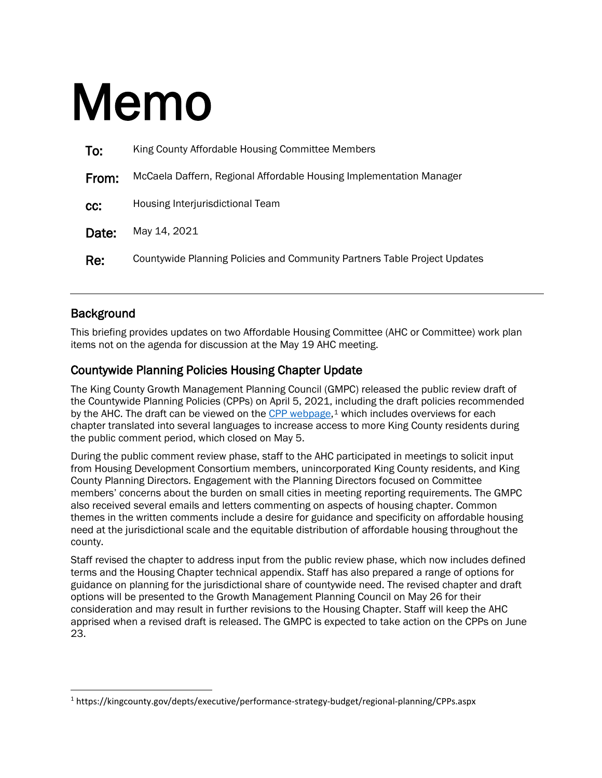## Memo

| To:   | King County Affordable Housing Committee Members                          |
|-------|---------------------------------------------------------------------------|
| From: | McCaela Daffern, Regional Affordable Housing Implementation Manager       |
| CC:   | Housing Interjurisdictional Team                                          |
| Date: | May 14, 2021                                                              |
| Re:   | Countywide Planning Policies and Community Partners Table Project Updates |

## **Background**

 $\overline{\phantom{a}}$ 

This briefing provides updates on two Affordable Housing Committee (AHC or Committee) work plan items not on the agenda for discussion at the May 19 AHC meeting.

## Countywide Planning Policies Housing Chapter Update

The King County Growth Management Planning Council (GMPC) released the public review draft of the Countywide Planning Policies (CPPs) on April 5, 2021, including the draft policies recommended by the AHC. The draft can be viewed on the [CPP webpage,](https://kingcounty.gov/depts/executive/performance-strategy-budget/regional-planning/CPPs.aspx)<sup>[1](#page-0-0)</sup> which includes overviews for each chapter translated into several languages to increase access to more King County residents during the public comment period, which closed on May 5.

During the public comment review phase, staff to the AHC participated in meetings to solicit input from Housing Development Consortium members, unincorporated King County residents, and King County Planning Directors. Engagement with the Planning Directors focused on Committee members' concerns about the burden on small cities in meeting reporting requirements. The GMPC also received several emails and letters commenting on aspects of housing chapter. Common themes in the written comments include a desire for guidance and specificity on affordable housing need at the jurisdictional scale and the equitable distribution of affordable housing throughout the county.

Staff revised the chapter to address input from the public review phase, which now includes defined terms and the Housing Chapter technical appendix. Staff has also prepared a range of options for guidance on planning for the jurisdictional share of countywide need. The revised chapter and draft options will be presented to the Growth Management Planning Council on May 26 for their consideration and may result in further revisions to the Housing Chapter. Staff will keep the AHC apprised when a revised draft is released. The GMPC is expected to take action on the CPPs on June 23.

<span id="page-0-0"></span><sup>1</sup> https://kingcounty.gov/depts/executive/performance-strategy-budget/regional-planning/CPPs.aspx